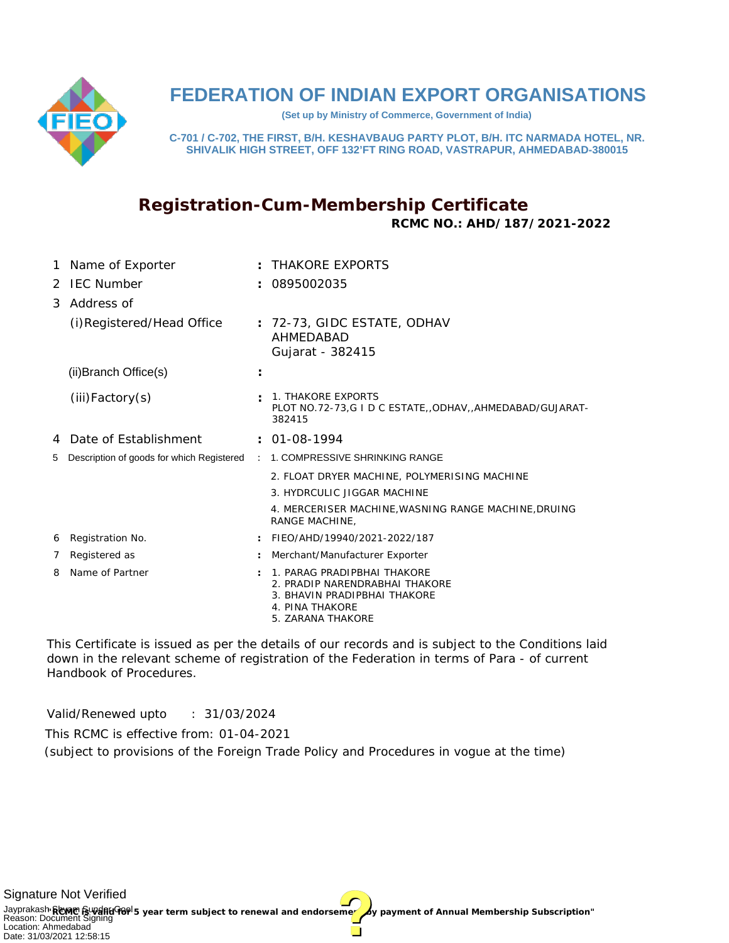

## **FEDERATION OF INDIAN EXPORT ORGANISATIONS**

**(Set up by Ministry of Commerce, Government of India)**

**C-701 / C-702, THE FIRST, B/H. KESHAVBAUG PARTY PLOT, B/H. ITC NARMADA HOTEL, NR. SHIVALIK HIGH STREET, OFF 132'FT RING ROAD, VASTRAPUR, AHMEDABAD-380015**

## **Registration-Cum-Membership Certificate RCMC NO.: AHD/187/2021-2022**

| 1 | Name of Exporter                          |                      | $\pm$ THAKORF FXPORTS                                                                                                                 |
|---|-------------------------------------------|----------------------|---------------------------------------------------------------------------------------------------------------------------------------|
|   | 2 IFC Number                              |                      | 0895002035                                                                                                                            |
| 3 | Address of                                |                      |                                                                                                                                       |
|   | (i) Registered/Head Office                |                      | $: 72-73$ , GIDC ESTATE, ODHAV<br>AHMFDABAD<br>Gujarat - 382415                                                                       |
|   | (ii) Branch Office(s)                     | ÷                    |                                                                                                                                       |
|   | $(iii)$ Factory $(s)$                     |                      | 1. THAKORE EXPORTS<br>PLOT NO.72-73,G I D C ESTATE, ODHAV, AHMEDABAD/GUJARAT-<br>382415                                               |
|   | 4 Date of Establishment                   |                      | $: 01-08-1994$                                                                                                                        |
| 5 | Description of goods for which Registered | $\mathcal{L}$        | 1. COMPRESSIVE SHRINKING RANGE                                                                                                        |
|   |                                           |                      | 2. FLOAT DRYER MACHINE, POLYMERISING MACHINE                                                                                          |
|   |                                           |                      | 3. HYDRCULIC JIGGAR MACHINE                                                                                                           |
|   |                                           |                      | 4. MERCERISER MACHINE, WASNING RANGE MACHINE, DRUING<br>RANGE MACHINE.                                                                |
| 6 | Registration No.                          |                      | FIEO/AHD/19940/2021-2022/187                                                                                                          |
| 7 | Registered as                             |                      | Merchant/Manufacturer Exporter                                                                                                        |
| 8 | Name of Partner                           | $\ddot{\phantom{a}}$ | 1. PARAG PRADIPBHAI THAKORE<br>2. PRADIP NARENDRABHAI THAKORE<br>3. BHAVIN PRADIPBHAI THAKORE<br>4. PINA THAKORE<br>5. ZARANA THAKORE |

This Certificate is issued as per the details of our records and is subject to the Conditions laid down in the relevant scheme of registration of the Federation in terms of Para - of current Handbook of Procedures.

Valid/Renewed upto : 31/03/2024

This RCMC is effective from: 01-04-2021

(subject to provisions of the Foreign Trade Policy and Procedures in vogue at the time)